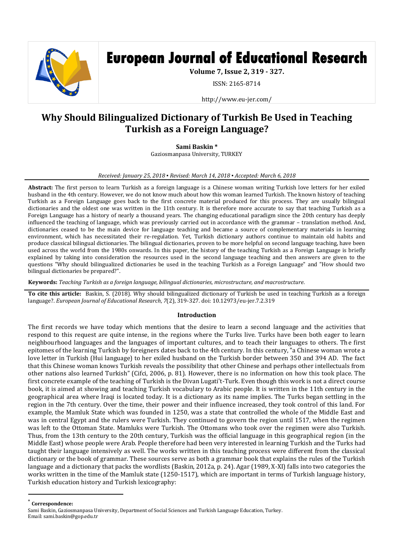

# **European Journal of Educational Research**

**Volume 7, Issue 2, 319 - 327.**

ISSN: 2165-8714

http://www.eu-jer.com/

# **Why Should Bilingualized Dictionary of Turkish Be Used in Teaching Turkish as a Foreign Language?**

**Sami Baskin \***

Gaziosmanpasa University, TURKEY

#### *Received: January 25, 2018 ▪ Revised: March 14, 2018 ▪ Accepted: March 6, 2018*

**Abstract:** The first person to learn Turkish as a foreign language is a Chinese woman writing Turkish love letters for her exiled husband in the 4th century. However, we do not know much about how this woman learned Turkish. The known history of teaching Turkish as a Foreign Language goes back to the first concrete material produced for this process. They are usually bilingual dictionaries and the oldest one was written in the 11th century. It is therefore more accurate to say that teaching Turkish as a Foreign Language has a history of nearly a thousand years. The changing educational paradigm since the 20th century has deeply influenced the teaching of language, which was previously carried out in accordance with the grammar – translation method. And, dictionaries ceased to be the main device for language teaching and became a source of complementary materials in learning environment, which has necessitated their re-regulation. Yet, Turkish dictionary authors continue to maintain old habits and produce classical bilingual dictionaries. The bilingual dictionaries, proven to be more helpful on second language teaching, have been used across the world from the 1980s onwards. In this paper, the history of the teaching Turkish as a Foreign Language is briefly explained by taking into consideration the resources used in the second language teaching and then answers are given to the questions "Why should bilingualized dictionaries be used in the teaching Turkish as a Foreign Language" and "How should two bilingual dictionaries be prepared?".

**Keywords:** *Teaching Turkish as a foreign language, bilingual dictionaries, microstructure, and macrostructure.*

**To cite this article:** Baskin, S. (2018). Why should bilingualized dictionary of Turkish be used in teaching Turkish as a foreign language?. *European Journal of Educational Research*, *7*(2), 319-327. doi: 10.12973/eu-jer.7.2.319

# **Introduction**

The first records we have today which mentions that the desire to learn a second language and the activities that respond to this request are quite intense, in the regions where the Turks live. Turks have been both eager to learn neighbourhood languages and the languages of important cultures, and to teach their languages to others. The first epitomes of the learning Turkish by foreigners dates back to the 4th century. In this century, "a Chinese woman wrote a love letter in Turkish (Hui language) to her exiled husband on the Turkish border between 350 and 394 AD. The fact that this Chinese woman knows Turkish reveals the possibility that other Chinese and perhaps other intellectuals from other nations also learned Turkish" (Cifci, 2006, p. 81). However, there is no information on how this took place. The first concrete example of the teaching of Turkish is the Divan Lugati't-Turk. Even though this work is not a direct course book, it is aimed at showing and teaching Turkish vocabulary to Arabic people. It is written in the 11th century in the geographical area where Iraqi is located today. It is a dictionary as its name implies. The Turks began settling in the region in the 7th century. Over the time, their power and their influence increased, they took control of this land. For example, the Mamluk State which was founded in 1250, was a state that controlled the whole of the Middle East and was in central Egypt and the rulers were Turkish. They continued to govern the region until 1517, when the regimen was left to the Ottoman State. Mamluks were Turkish. The Ottomans who took over the regimen were also Turkish. Thus, from the 13th century to the 20th century, Turkish was the official language in this geographical region (in the Middle East) whose people were Arab. People therefore had been very interested in learning Turkish and the Turks had taught their language intensively as well. The works written in this teaching process were different from the classical dictionary or the book of grammar. These sources serve as both a grammar book that explains the rules of the Turkish language and a dictionary that packs the wordlists (Baskin, 2012a, p. 24). Agar (1989, X-XI) falls into two categories the works written in the time of the Mamluk state (1250-1517), which are important in terms of Turkish language history, Turkish education history and Turkish lexicography:

\* **Correspondence:**

 $\overline{\phantom{a}}$ 

Sami Baskin, Gaziosmanpasa University, Department of Social Sciences and Turkish Language Education, Turkey. Email: sami.baskin@gop.edu.tr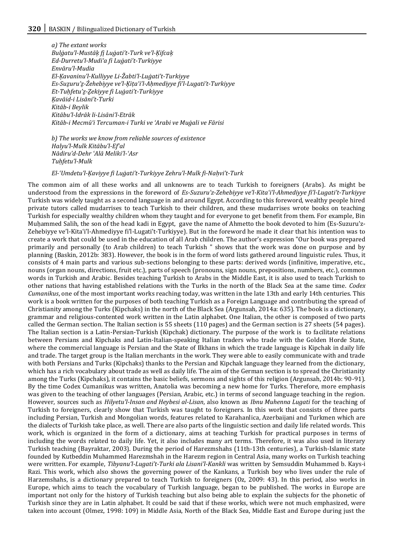*a) The extant works Bulġatu'l-Mustāķ fį Luġati't-Turk ve'l-Ķifcaķ Ed-Durretu'l-Mudiʻa fi Luġati't-Turkiyye Envāru'l-Mudia El-Ķavaninu'l-Kulliyye Li-Žabti'l-Luġati't-Turkiyye Es-Suẕuru'ẕ-Źehebiyye ve'l-Ķiṭaʿi'l-Aḥmediyye fi'l-Lugati't-Turkiyye Et-Tuḥfetu'ẕ-Ẕekiyye fi Luġati't-Turkiyye Ķavāid-i Lisāni't-Turki Kitāb-i Beylik Kitābu'l-Idrāk li-Lisāni'l-Etrāk Kitāb-i Mecmūʻi Tercuman-i Turki ve ʻArabi ve Muġali ve Fārisi*

*b) The works we know from reliable sources of existence Halyu'l-Mulk Kitābu'l-Efʿal Nādiru'd-Dehr ʿAlā Meliki'l-ʿAsr Tuḥfetu'l-Mulk*

*El-ʿUmdetu'l-Ķaviyye fi Luġati't-Turkiyye Zehru'l-Mulk fi-Naḥvi't-Turk*

The common aim of all these works and all unknowns are to teach Turkish to foreigners (Arabs). As might be understood from the expressions in the foreword of *Es-Suzuru'z-Zehebiyye ve'l-Kitaʿi'l-Ahmediyye fi'l-Lugati't-Turkiyye* Turkish was widely taught as a second language in and around Egypt. According to this foreword, wealthy people hired private tutors called mudarrises to teach Turkish to their children, and these mudarrises wrote books on teaching Turkish for especially wealthy children whom they taught and for everyone to get benefit from them. For example, Bin Muḥammed Salih, the son of the head kadi in Egypt, gave the name of Ahmetto the book devoted to him (Es-Suzuru'z-Zehebiyye ve'l-Kitaʿi'l-Ahmediyye fi'l-Lugati't-Turkiyye). But in the foreword he made it clear that his intention was to create a work that could be used in the education of all Arab children. The author's expression "Our book was prepared primarily and personally (to Arab children) to teach Turkish " shows that the work was done on purpose and by planning (Baskin, 2012b: 383). However, the book is in the form of word lists gathered around linguistic rules. Thus, it consists of 4 main parts and various sub-sections belonging to these parts: derived words (infinitive, imperative, etc., nouns (organ nouns, directions, fruit etc.), parts of speech (pronouns, sign nouns, prepositions, numbers, etc.), common words in Turkish and Arabic. Besides teaching Turkish to Arabs in the Middle East, it is also used to teach Turkish to other nations that having established relations with the Turks in the north of the Black Sea at the same time. *Codex Cumanikus*, one of the most important works reaching today, was written in the late 13th and early 14th centuries. This work is a book written for the purposes of both teaching Turkish as a Foreign Language and contributing the spread of Christianity among the Turks (Kipchaks) in the north of the Black Sea (Argunsah, 2014a: 635). The book is a dictionary, grammar and religious-contented work written in the Latin alphabet. One Italian, the other is composed of two parts called the German section. The Italian section is 55 sheets (110 pages) and the German section is 27 sheets (54 pages). The Italian section is a Latin-Persian-Turkish (Kipchak) dictionary. The purpose of the work is to facilitate relations between Persians and Kipchaks and Latin-Italian-speaking Italian traders who trade with the Golden Horde State, where the commercial language is Persian and the State of Ilkhans in which the trade language is Kipchak in daily life and trade. The target group is the Italian merchants in the work. They were able to easily communicate with and trade with both Persians and Turks (Kipchaks) thanks to the Persian and Kipchak language they learned from the dictionary, which has a rich vocabulary about trade as well as daily life. The aim of the German section is to spread the Christianity among the Turks (Kipchaks), it contains the basic beliefs, sermons and sights of this religion (Argunsah, 2014b: 90-91). By the time Codex Cumanikus was written, Anatolia was becoming a new home for Turks. Therefore, more emphasis was given to the teaching of other languages (Persian, Arabic, etc.) in terms of second language teaching in the region. However, sources such as *Hilyetu'l-Insan and Heybesi al-Lisan*, also known as *Ibnu Muhenna Lugati* for the teaching of Turkish to foreigners, clearly show that Turkish was taught to foreigners. In this work that consists of three parts including Persian, Turkish and Mongolian words, features related to Karahanlica, Azerbaijani and Turkmen which are the dialects of Turkish take place, as well. There are also parts of the linguistic section and daily life related words. This work, which is organized in the form of a dictionary, aims at teaching Turkish for practical purposes in terms of including the words related to daily life. Yet, it also includes many art terms. Therefore, it was also used in literary Turkish teaching (Bayraktar, 2003). During the period of Harezmshahs (11th-13th centuries), a Turkish-Islamic state founded by Kutbeddin Muhammed Harezmshah in the Harezm region in Central Asia, many works on Turkish teaching were written. For example, *Tibyanu'l-Lugati't-Turki ala Lisani'l-Kankli* was written by Semsuddin Muhammed b. Kays-i Razi. This work, which also shows the governing power of the Kankans, a Turkish boy who lives under the rule of Harzemshahs, is a dictionary prepared to teach Turkish to foreigners (Oz, 2009: 43). In this period, also works in Europe, which aims to teach the vocabulary of Turkish language, began to be published. The works in Europe are important not only for the history of Turkish teaching but also being able to explain the subjects for the phonetic of Turkish since they are in Latin alphabet. It could be said that if these works, which were not much emphasized, were taken into account (Olmez, 1998: 109) in Middle Asia, North of the Black Sea, Middle East and Europe during just the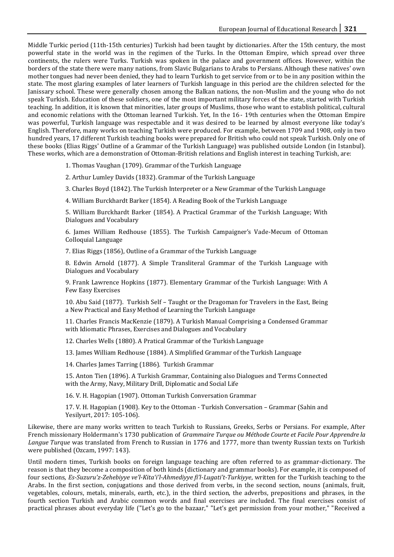Middle Turkic period (11th-15th centuries) Turkish had been taught by dictionaries. After the 15th century, the most powerful state in the world was in the regimen of the Turks. In the Ottoman Empire, which spread over three continents, the rulers were Turks. Turkish was spoken in the palace and government offices. However, within the borders of the state there were many nations, from Slavic Bulgarians to Arabs to Persians. Although these natives' own mother tongues had never been denied, they had to learn Turkish to get service from or to be in any position within the state. The most glaring examples of later learners of Turkish language in this period are the children selected for the Janissary school. These were generally chosen among the Balkan nations, the non-Muslim and the young who do not speak Turkish. Education of these soldiers, one of the most important military forces of the state, started with Turkish teaching. In addition, it is known that minorities, later groups of Muslims, those who want to establish political, cultural and economic relations with the Ottoman learned Turkish. Yet, In the 16 - 19th centuries when the Ottoman Empire was powerful, Turkish language was respectable and it was desired to be learned by almost everyone like today's English. Therefore, many works on teaching Turkish were produced. For example, between 1709 and 1908, only in two hundred years, 17 different Turkish teaching books were prepared for British who could not speak Turkish. Only one of these books (Elias Riggs' Outline of a Grammar of the Turkish Language) was published outside London (in Istanbul). These works, which are a demonstration of Ottoman-British relations and English interest in teaching Turkish, are:

1. Thomas Vaughan (1709). Grammar of the Turkish Language

2. Arthur Lumley Davids (1832). Grammar of the Turkish Language

- 3. Charles Boyd (1842). The Turkish Interpreter or a New Grammar of the Turkish Language
- 4. William Burckhardt Barker (1854). A Reading Book of the Turkish Language

5. William Burckhardt Barker (1854). A Practical Grammar of the Turkish Language; With Dialogues and Vocabulary

6. James William Redhouse (1855). The Turkish Campaigner's Vade-Mecum of Ottoman Colloquial Language

7. Elias Riggs (1856), Outline of a Grammar of the Turkish Language

8. Edwin Arnold (1877). A Simple Transliteral Grammar of the Turkish Language with Dialogues and Vocabulary

9. Frank Lawrence Hopkins (1877). Elementary Grammar of the Turkish Language: With A Few Easy Exercises

10. Abu Said (1877). Turkish Self – Taught or the Dragoman for Travelers in the East, Being a New Practical and Easy Method of Learning the Turkish Language

11. Charles Francis MacKenzie (1879). A Turkish Manual Comprising a Condensed Grammar with Idiomatic Phrases, Exercises and Dialogues and Vocabulary

12. Charles Wells (1880). A Pratical Grammar of the Turkish Language

13. James William Redhouse (1884). A Simplified Grammar of the Turkish Language

14. Charles James Tarring (1886). Turkish Grammar

15. Anton Tien (1896). A Turkish Grammar, Containing also Dialogues and Terms Connected with the Army, Navy, Military Drill, Diplomatic and Social Life

16. V. H. Hagopian (1907). Ottoman Turkish Conversation Grammar

17. V. H. Hagopian (1908). Key to the Ottoman - Turkish Conversation – Grammar (Sahin and Yesilyurt, 2017: 105-106).

Likewise, there are many works written to teach Turkish to Russians, Greeks, Serbs or Persians. For example, After French missionary Holdermann's 1730 publication of *Grammaire Turque ou Méthode Courte et Facile Pour Apprendre la Langue Turque* was translated from French to Russian in 1776 and 1777, more than twenty Russian texts on Turkish were published (Ozcam, 1997: 143).

Until modern times, Turkish books on foreign language teaching are often referred to as grammar-dictionary. The reason is that they become a composition of both kinds (dictionary and grammar books). For example, it is composed of four sections, *Es-Suzuru'z-Zehebiyye ve'l-Kitaʿi'l-Ahmediyye fi'l-Lugati't-Turkiyye*, written for the Turkish teaching to the Arabs. In the first section, conjugations and those derived from verbs, in the second section, nouns (animals, fruit, vegetables, colours, metals, minerals, earth, etc.), in the third section, the adverbs, prepositions and phrases, in the fourth section Turkish and Arabic common words and final exercises are included. The final exercises consist of practical phrases about everyday life ("Let's go to the bazaar," "Let's get permission from your mother," "Received a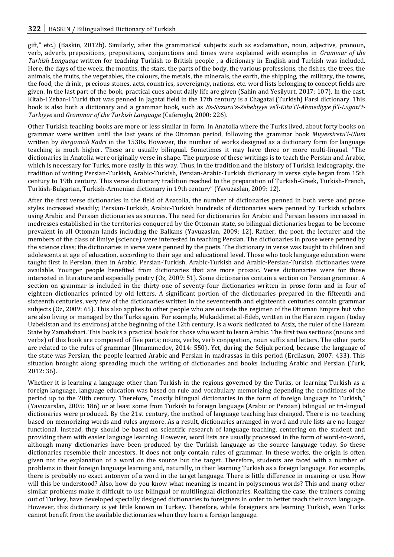gift," etc.) (Baskin, 2012b). Similarly, after the grammatical subjects such as exclamation, noun, adjective, pronoun, verb, adverb, prepositions, prepositions, conjunctions and times were explained with examples in *Grammar of the Turkish Language* written for teaching Turkish to British people , a dictionary in English and Turkish was included. Here, the days of the week, the months, the stars, the parts of the body, the various professions, the fishes, the trees, the animals, the fruits, the vegetables, the colours, the metals, the minerals, the earth, the shipping, the military, the towns, the food, the drink , precious stones, acts, countries, sovereignty, nations, etc. word lists belonging to concept fields are given. In the last part of the book, practical cues about daily life are given (Sahin and Yesilyurt, 2017: 107). In the east, Kitab-i Zeban-i Turki that was penned in Jagatai field in the 17th century is a Chagatai (Turkish) Farsi dictionary. This book is also both a dictionary and a grammar book, such as *Es-Suzuru'z-Zehebiyye ve'l-Kitaʿi'l-Ahmediyye fi'l-Lugati't-Turkiyye* and *Grammar of the Turkish Language* (Caferoglu, 2000: 226).

Other Turkish teaching books are more or less similar in form. In Anatolia where the Turks lived, about forty books on grammar were written until the last years of the Ottoman period, following the grammar book *Muyessiretu'l-Ulum*  written by *Bergamali Kadri* in the 1530s. However, the number of works designed as a dictionary form for language teaching is much higher. These are usually bilingual. Sometimes it may have three or more multi-lingual. "The dictionaries in Anatolia were originally verse in shape. The purpose of these writings is to teach the Persian and Arabic, which is necessary for Turks, more easily in this way. Thus, in the tradition and the history of Turkish lexicography, the tradition of writing Persian-Turkish, Arabic-Turkish, Persian-Arabic-Turkish dictionary in verse style began from 15th century to 19th century. This verse dictionary tradition reached to the preparation of Turkish-Greek, Turkish-French, Turkish-Bulgarian, Turkish-Armenian dictionary in 19th century" (Yavuzaslan, 2009: 12).

After the first verse dictionaries in the field of Anatolia, the number of dictionaries penned in both verse and prose styles increased steadily; Persian-Turkish, Arabic-Turkish hundreds of dictionaries were penned by Turkish scholars using Arabic and Persian dictionaries as sources. The need for dictionaries for Arabic and Persian lessons increased in medresses established in the territories conquered by the Ottoman state, so bilingual dictionaries began to be become prevalent in all Ottoman lands including the Balkans (Yavuzaslan, 2009: 12). Rather, the poet, the lecturer and the members of the class of ilmiye (science) were interested in teaching Persian. The dictionaries in prose were penned by the science class; the dictionaries in verse were penned by the poets. The dictionary in verse was taught to children and adolescents at age of education, according to their age and educational level. Those who took language education were taught first in Persian, then in Arabic. Persian-Turkish, Arabic-Turkish and Arabic-Persian-Turkish dictionaries were available. Younger people benefited from dictionaries that are more prosaic. Verse dictionaries were for those interested in literature and especially poetry (Oz, 2009: 51). Some dictionaries contain a section on Persian grammar. A section on grammar is included in the thirty-one of seventy-four dictionaries written in prose form and in four of eighteen dictionaries printed by old letters. A significant portion of the dictionaries prepared in the fifteenth and sixteenth centuries, very few of the dictionaries written in the seventeenth and eighteenth centuries contain grammar subjects (Oz, 2009: 65). This also applies to other people who are outside the regimen of the Ottoman Empire but who are also living or managed by the Turks again. For example, Mukaddimet al-Edeb, written in the Harezm region (today Uzbekistan and its environs) at the beginning of the 12th century, is a work dedicated to Atsiz, the ruler of the Harezm State by Zamahshari. This book is a practical book for those who want to learn Arabic. The first two sections (nouns and verbs) of this book are composed of five parts; nouns, verbs, verb conjugation, noun suffix and letters. The other parts are related to the rules of grammar (Ilmammedov, 2014: 550). Yet, during the Seljuk period, because the language of the state was Persian, the people learned Arabic and Persian in madrassas in this period (Ercilasun, 2007: 433). This situation brought along spreading much the writing of dictionaries and books including Arabic and Persian (Turk, 2012: 36).

Whether it is learning a language other than Turkish in the regions governed by the Turks, or learning Turkish as a foreign language, language education was based on rule and vocabulary memorizing depending the conditions of the period up to the 20th century. Therefore, "mostly bilingual dictionaries in the form of foreign language to Turkish," (Yavuzarslan, 2005: 186) or at least some from Turkish to foreign language (Arabic or Persian) bilingual or tri-lingual dictionaries were produced. By the 21st century, the method of language teaching has changed. There is no teaching based on memorizing words and rules anymore. As a result, dictionaries arranged in word and rule lists are no longer functional. Instead, they should be based on scientific research of language teaching, centering on the student and providing them with easier language learning. However, word lists are usually processed in the form of word-to-word, although many dictionaries have been produced by the Turkish language as the source language today. So these dictionaries resemble their ancestors. It does not only contain rules of grammar. In these works, the origin is often given not the explanation of a word on the source but the target. Therefore, students are faced with a number of problems in their foreign language learning and, naturally, in their learning Turkish as a foreign language. For example, there is probably no exact antonym of a word in the target language. There is little difference in meaning or use. How will this be understood? Also, how do you know what meaning is meant in polysemous words? This and many other similar problems make it difficult to use bilingual or multilingual dictionaries. Realizing the case, the trainers coming out of Turkey, have developed specially designed dictionaries to foreigners in order to better teach their own language. However, this dictionary is yet little known in Turkey. Therefore, while foreigners are learning Turkish, even Turks cannot benefit from the available dictionaries when they learn a foreign language.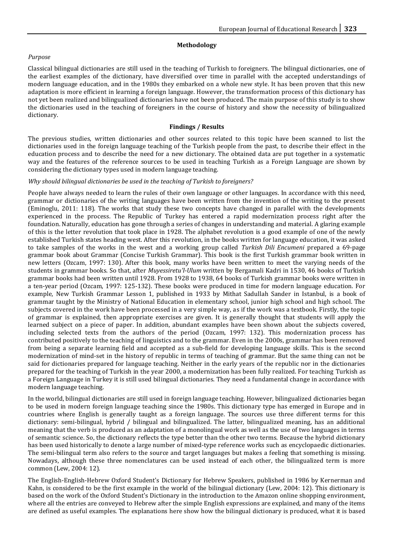## **Methodology**

## *Purpose*

Classical bilingual dictionaries are still used in the teaching of Turkish to foreigners. The bilingual dictionaries, one of the earliest examples of the dictionary, have diversified over time in parallel with the accepted understandings of modern language education, and in the 1980s they embarked on a whole new style. It has been proven that this new adaptation is more efficient in learning a foreign language. However, the transformation process of this dictionary has not yet been realized and bilingualized dictionaries have not been produced. The main purpose of this study is to show the dictionaries used in the teaching of foreigners in the course of history and show the necessity of bilingualized dictionary.

## **Findings / Results**

The previous studies, written dictionaries and other sources related to this topic have been scanned to list the dictionaries used in the foreign language teaching of the Turkish people from the past, to describe their effect in the education process and to describe the need for a new dictionary. The obtained data are put together in a systematic way and the features of the reference sources to be used in teaching Turkish as a Foreign Language are shown by considering the dictionary types used in modern language teaching.

#### *Why should bilingual dictionaries be used in the teaching of Turkish to foreigners?*

People have always needed to learn the rules of their own language or other languages. In accordance with this need, grammar or dictionaries of the writing languages have been written from the invention of the writing to the present (Eminoglu, 2011: 118). The works that study these two concepts have changed in parallel with the developments experienced in the process. The Republic of Turkey has entered a rapid modernization process right after the foundation. Naturally, education has gone through a series of changes in understanding and material. A glaring example of this is the letter revolution that took place in 1928. The alphabet revolution is a good example of one of the newly established Turkish states heading west. After this revolution, in the books written for language education, it was asked to take samples of the works in the west and a working group called *Turkish Dili Encumeni* prepared a 69-page grammar book about Grammar (Concise Turkish Grammar). This book is the first Turkish grammar book written in new letters (Ozcam, 1997: 130). After this book, many works have been written to meet the varying needs of the students in grammar books. So that, after *Muyessiretu'l-Ulum* written by Bergamali Kadri in 1530, 46 books of Turkish grammar books had been written until 1928. From 1928 to 1938, 64 books of Turkish grammar books were written in a ten-year period (Ozcam, 1997: 125-132). These books were produced in time for modern language education. For example, New Turkish Grammar Lesson 1, published in 1933 by Mithat Sadullah Sander in Istanbul, is a book of grammar taught by the Ministry of National Education in elementary school, junior high school and high school. The subjects covered in the work have been processed in a very simple way, as if the work was a textbook. Firstly, the topic of grammar is explained, then appropriate exercises are given. It is generally thought that students will apply the learned subject on a piece of paper. In addition, abundant examples have been shown about the subjects covered, including selected texts from the authors of the period (Ozcam, 1997: 132). This modernization process has contributed positively to the teaching of linguistics and to the grammar. Even in the 2000s, grammar has been removed from being a separate learning field and accepted as a sub-field for developing language skills. This is the second modernization of mind-set in the history of republic in terms of teaching of grammar. But the same thing can not be said for dictionaries prepared for language teaching. Neither in the early years of the republic nor in the dictionaries prepared for the teaching of Turkish in the year 2000, a modernization has been fully realized. For teaching Turkish as a Foreign Language in Turkey it is still used bilingual dictionaries. They need a fundamental change in accordance with modern language teaching.

In the world, bilingual dictionaries are still used in foreign language teaching. However, bilingualized dictionaries began to be used in modern foreign language teaching since the 1980s. This dictionary type has emerged in Europe and in countries where English is generally taught as a foreign language. The sources use three different terms for this dictionary: semi-bilingual, hybrid / bilingual and bilingualized. The latter, bilingualized meaning, has an additional meaning that the verb is produced as an adaptation of a monolingual work as well as the use of two languages in terms of semantic science. So, the dictionary reflects the type better than the other two terms. Because the hybrid dictionary has been used historically to denote a large number of mixed-type reference works such as encyclopaedic dictionaries. The semi-bilingual term also refers to the source and target languages but makes a feeling that something is missing. Nowadays, although these three nomenclatures can be used instead of each other, the bilingualized term is more common (Lew, 2004: 12).

The English-English-Hebrew Oxford Student's Dictionary for Hebrew Speakers, published in 1986 by Kernerman and Kahn, is considered to be the first example in the world of the bilingual dictionary (Lew, 2004: 12). This dictionary is based on the work of the Oxford Student's Dictionary in the introduction to the Amazon online shopping environment, where all the entries are conveyed to Hebrew after the simple English expressions are explained, and many of the items are defined as useful examples. The explanations here show how the bilingual dictionary is produced, what it is based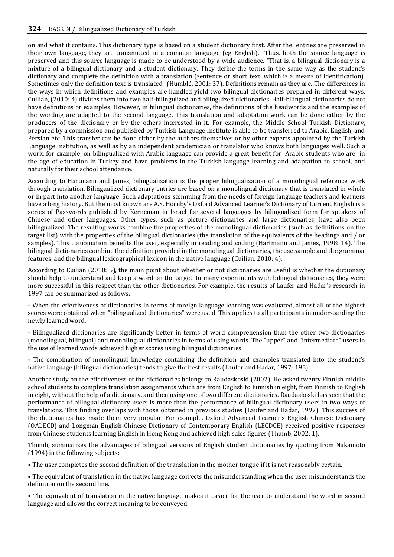on and what it contains. This dictionary type is based on a student dictionary first. After the entries are preserved in their own language, they are transmitted in a common language (eg English). Thus, both the source language is preserved and this source language is made to be understood by a wide audience. "That is, a bilingual dictionary is a mixture of a bilingual dictionary and a student dictionary. They define the terms in the same way as the student's dictionary and complete the definition with a translation (sentence or short text, which is a means of identification). Sometimes only the definition text is translated "(Humblé, 2001: 37). Definitions remain as they are. The differences in the ways in which definitions and examples are handled yield two bilingual dictionaries prepared in different ways. Cuilian, (2010: 4) divides them into two half-bilingulized and bilinguized dictionaries. Half-bilingual dictionaries do not have definitions or examples. However, in bilingual dictionaries, the definitions of the headwords and the examples of the wording are adapted to the second language. This translation and adaptation work can be done either by the producers of the dictionary or by the others interested in it. For example, the Middle School Turkish Dictionary, prepared by a commission and published by Turkish Language Institute is able to be transferred to Arabic, English, and Persian etc. This transfer can be done either by the authors themselves or by other experts appointed by the Turkish Language Institution, as well as by an independent academician or translator who knows both languages well. Such a work, for example, on bilingualized with Arabic language can provide a great benefit for Arabic students who are in the age of education in Turkey and have problems in the Turkish language learning and adaptation to school, and naturally for their school attendance.

According to Hartmann and James, bilingualization is the proper bilingualization of a monolingual reference work through translation. Bilingualized dictionary entries are based on a monolingual dictionary that is translated in whole or in part into another language. Such adaptations stemming from the needs of foreign language teachers and learners have a long history. But the most known are A.S. Hornby's Oxford Advanced Learner's Dictionary of Current English is a series of Passwords published by Kerneman in Israel for several languages by bilingualized form for speakers of Chinese and other languages. Other types, such as picture dictionaries and large dictionaries, have also been bilingualized. The resulting works combine the properties of the monolingual dictionaries (such as definitions on the target list) with the properties of the bilingual dictionaries (the translation of the equivalents of the headings and / or samples). This combination benefits the user, especially in reading and coding (Hartmann and James, 1998: 14). The bilingual dictionaries combine the definition provided in the monolingual dictionaries, the use sample and the grammar features, and the bilingual lexicographical lexicon in the native language (Cuilian, 2010: 4).

According to Cuilian (2010: 5), the main point about whether or not dictionaries are useful is whether the dictionary should help to understand and keep a word on the target. In many experiments with bilingual dictionaries, they were more successful in this respect than the other dictionaries. For example, the results of Laufer and Hadar's research in 1997 can be summarized as follows:

- When the effectiveness of dictionaries in terms of foreign language learning was evaluated, almost all of the highest scores were obtained when "bilingualized dictionaries" were used. This applies to all participants in understanding the newly learned word.

- Bilingualized dictionaries are significantly better in terms of word comprehension than the other two dictionaries (monolingual, bilingual) and monolingual dictionaries in terms of using words. The "upper" and "intermediate" users in the use of learned words achieved higher scores using bilingual dictionaries.

- The combination of monolingual knowledge containing the definition and examples translated into the student's native language (bilingual dictionaries) tends to give the best results (Laufer and Hadar, 1997: 195).

Another study on the effectiveness of the dictionaries belongs to Raudaskoski (2002). He asked twenty Finnish middle school students to complete translation assignments which are from English to Finnish in eight, from Finnish to English in eight, without the help of a dictionary, and then using one of two different dictionaries. Raudaskoski has seen that the performance of bilingual dictionary users is more than the performance of bilingual dictionary users in two ways of translations. This finding overlaps with those obtained in previous studies (Laufer and Hadar, 1997). This success of the dictionaries has made them very popular. For example, Oxford Advanced Learner's English-Chinese Dictionary (OALECD) and Longman English-Chinese Dictionary of Contemporary English (LECDCE) received positive responses from Chinese students learning English in Hong Kong and achieved high sales figures (Thumb, 2002: 1).

Thumb, summarizes the advantages of bilingual versions of English student dictionaries by quoting from Nakamoto (1994) in the following subjects:

• The user completes the second definition of the translation in the mother tongue if it is not reasonably certain.

• The equivalent of translation in the native language corrects the misunderstanding when the user misunderstands the definition on the second line.

• The equivalent of translation in the native language makes it easier for the user to understand the word in second language and allows the correct meaning to be conveyed.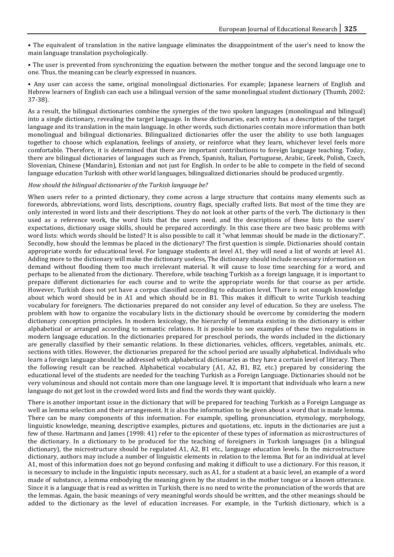• The equivalent of translation in the native language eliminates the disappointment of the user's need to know the main language translation psychologically.

• The user is prevented from synchronizing the equation between the mother tongue and the second language one to one. Thus, the meaning can be clearly expressed in nuances.

• Any user can access the same, original monolingual dictionaries. For example; Japanese learners of English and Hebrew learners of English can each use a bilingual version of the same monolingual student dictionary (Thumb, 2002: 37-38).

As a result, the bilingual dictionaries combine the synergies of the two spoken languages (monolingual and bilingual) into a single dictionary, revealing the target language. In these dictionaries, each entry has a description of the target language and its translation in the main language. In other words, such dictionaries contain more information than both monolingual and bilingual dictionaries. Bilingualized dictionaries offer the user the ability to use both languages together to choose which explanation, feelings of anxiety, or reinforce what they learn, whichever level feels more comfortable. Therefore, it is determined that there are important contributions to foreign language teaching. Today, there are bilingual dictionaries of languages such as French, Spanish, Italian, Portuguese, Arabic, Greek, Polish, Czech, Slovenian, Chinese (Mandarin), Estonian and not just for English. In order to be able to compete in the field of second language education Turkish with other world languages, bilingualized dictionaries should be produced urgently.

#### *How should the bilingual dictionaries of the Turkish language be?*

When users refer to a printed dictionary, they come across a large structure that contains many elements such as forewords, abbreviations, word lists, descriptions, country flags, specially crafted lists. But most of the time they are only interested in word lists and their descriptions. They do not look at other parts of the verb. The dictionary is then used as a reference work, the word lists that the users need, and the descriptions of these lists to the users' expectations, dictionary usage skills, should be prepared accordingly. In this case there are two basic problems with word lists: which words should be listed? It is also possible to call it "what lemmas should be made in the dictionary?". Secondly, how should the lemmas be placed in the dictionary? The first question is simple. Dictionaries should contain appropriate words for educational level. For language students at level A1, they will need a list of words at level A1. Adding more to the dictionary will make the dictionary useless, The dictionary should include necessary information on demand without flooding them too much irrelevant material. It will cause to lose time searching for a word, and perhaps to be alienated from the dictionary. Therefore, while teaching Turkish as a foreign language, it is important to prepare different dictionaries for each course and to write the appropriate words for that course as per article. However, Turkish does not yet have a corpus classified according to education level. There is not enough knowledge about which word should be in A1 and which should be in B1. This makes it difficult to write Turkish teaching vocabulary for foreigners. The dictionaries prepared do not consider any level of education. So they are useless. The problem with how to organize the vocabulary lists in the dictionary should be overcome by considering the modern dictionary conception principles. In modern lexicology, the hierarchy of lemmata existing in the dictionary is either alphabetical or arranged according to semantic relations. It is possible to see examples of these two regulations in modern language education. In the dictionaries prepared for preschool periods, the words included in the dictionary are generally classified by their semantic relations. In these dictionaries, vehicles, officers, vegetables, animals, etc. sections with titles. However, the dictionaries prepared for the school period are usually alphabetical. Individuals who learn a foreign language should be addressed with alphabetical dictionaries as they have a certain level of literacy. Then the following result can be reached. Alphabetical vocabulary (A1, A2, B1, B2, etc.) prepared by considering the educational level of the students are needed for the teaching Turkish as a Foreign Language. Dictionaries should not be very voluminous and should not contain more than one language level. It is important that individuals who learn a new language do not get lost in the crowded word lists and find the words they want quickly.

There is another important issue in the dictionary that will be prepared for teaching Turkish as a Foreign Language as well as lemma selection and their arrangement. It is also the information to be given about a word that is made lemma. There can be many components of this information. For example, spelling, pronunciation, etymology, morphology, linguistic knowledge, meaning, descriptive examples, pictures and quotations, etc. inputs in the dictionaries are just a few of these. Hartmann and James (1998: 41) refer to the epicenter of these types of information as microstructures of the dictionary. In a dictionary to be produced for the teaching of foreigners in Turkish languages (in a bilingual dictionary), the microstructure should be regulated A1, A2, B1 etc., language education levels. In the microstructure dictionary, authors may include a number of linguistic elements in relation to the lemma. But for an individual at level A1, most of this information does not go beyond confusing and making it difficult to use a dictionary. For this reason, it is necessary to include in the linguistic inputs necessary, such as A1, for a student at a basic level, an example of a word made of substance, a lemma embodying the meaning given by the student in the mother tongue or a known utterance. Since it is a language that is read as written in Turkish, there is no need to write the pronunciation of the words that are the lemmas. Again, the basic meanings of very meaningful words should be written, and the other meanings should be added to the dictionary as the level of education increases. For example, in the Turkish dictionary, which is a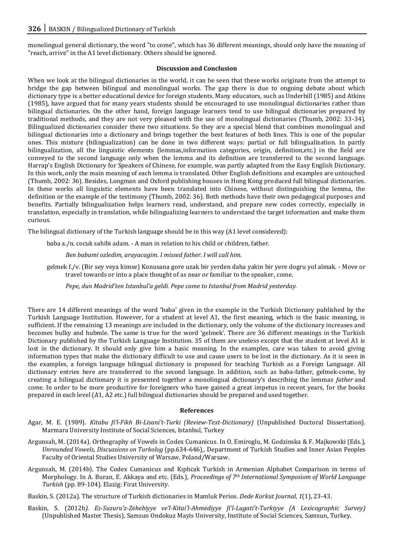monolingual general dictionary, the word "to come", which has 36 different meanings, should only have the meaning of "reach, arrive" in the A1 level dictionary. Others should be ignored.

#### **Discussion and Conclusion**

When we look at the bilingual dictionaries in the world, it can be seen that these works originate from the attempt to bridge the gap between bilingual and monolingual works. The gap there is due to ongoing debate about which dictionary type is a better educational device for foreign students. Many educators, such as Underbill (1985) and Atkins (1985), have argued that for many years students should be encouraged to use monolingual dictionaries rather than bilingual dictionaries. On the other hand, foreign language learners tend to use bilingual dictionaries prepared by traditional methods, and they are not very pleased with the use of monolingual dictionaries (Thumb, 2002: 33-34). Bilingualized dictionaries consider these two situations. So they are a special blend that combines monolingual and bilingual dictionaries into a dictionary and brings together the best features of both lines. This is one of the popular ones. This mixture (bilingualization) can be done in two different ways: partial or full bilingualization. In partly bilingualization, all the linguistic elements (lemmas,information categories, origin, definition,etc.) in the field are conveyed to the second language only when the lemma and its definition are transferred to the second language. Harrap's English Dictionary for Speakers of Chinese, for example, was partly adapted from the Easy English Dictionary. In this work, only the main meaning of each lemma is translated. Other English definitions and examples are untouched (Thumb, 2002: 36). Besides, Longman and Oxford publishing houses in Hong Kong produced full bilingual dictionaries. In these works all linguistic elements have been translated into Chinese, without distinguishing the lemma, the definition or the example of the testimony (Thumb, 2002: 36). Both methods have their own pedagogical purposes and benefits. Partially bilingualization helps learners read, understand, and prepare new codes correctly, especially in translation, especially in translation, while bilingualizing learners to understand the target information and make them curious.

The bilingual dictionary of the Turkish language should be in this way (A1 level considered):

baba a./n. cocuk sahibi adam. - A man in relation to his child or children, father.

*Ben babami ozledim, arayacagim. I missed father. I will call him.*

gelmek f./v. (Bir sey veya kimse) Konusana gore uzak bir yerden daha yakin bir yere dogru yol almak. - Move or travel towards or into a place thought of as near or familiar to the speaker, come.

*Pepe, dun Madrid'ten Istanbul'a geldi. Pepe came to Istanbul from Madrid yesterday.*

There are 14 different meanings of the word 'baba' given in the example in the Turkish Dictionary published by the Turkish Language Institution. However, for a student at level A1, the first meaning, which is the basic meaning, is sufficient. If the remaining 13 meanings are included in the dictionary, only the volume of the dictionary increases and becomes bulky and hubmle. The same is true for the word 'gelmek'. There are 36 different meanings in the Turkish Dictionary published by the Turkish Language Institution. 35 of them are useless except that the student at level A1 is lost in the dictionary. It should only give him a basic meaning. In the examples, care was taken to avoid giving information types that make the dictionary difficult to use and cause users to be lost in the dictionary. As it is seen in the examples, a foreign language bilingual dictionary is proposed for teaching Turkish as a Foreign Language. All dictionary entries here are transferred to the second language. In addition, such as baba-father, gelmek-come, by creating a bilingual dictionary it is presented together a monolingual dictionary's describing the lemmas *father* and *come*. In order to be more productive for foreigners who have gained a great impetus in recent years, for the books prepared in each level (A1, A2 etc.) full bilingual dictionaries should be prepared and used together.

#### **References**

- Agar, M. E. (1989). *Kitabu fi'l-Fikh Bi-Lisani't-Turki (Review-Text-Dictionary)* (Unpublished Doctoral Dissertation). Marmara University Institute of Social Sciences, Istanbul, Turkey
- Argunsah, M. (2014a). Orthography of Vowels in Codex Cumanicus. In O. Emiroglu, M. Godzinska & F. Majkowski (Eds.), *Unrounded Vowels, Discussions on Turkolog* (pp*.*634-646)*,*. Department of Turkish Studies and Inner Asian Peoples Faculty of Oriental Studies University of Warsaw, Poland/Warsaw.
- Argunsah, M. (2014b). The Codex Cumanicus and Kıphcak Turkish in Armenian Alphabet Comparison in terms of Morphology. In A. Buran, E. Akkaya and etc. (Eds.), *Proceedings of 7th International Symposiom of World Language Turkish* (pp. 89-104). Elazig: Firat University.

Baskin, S. (2012a). The structure of Turkish dictionaries in Mamluk Perios. *Dede Korkut Journal*, *1*(1), 23-43.

Baskin, S. (2012b*). Es-Suzuru'z-Zehebiyye ve'l-Kitai'l-Ahmediyye fi'l-Lugati't-Turkiyye (A Lexicographic Survey)* (Unpublished Master Thesis), Samsun Ondokuz Mayis University, Institute of Social Sciences, Samsun, Turkey.